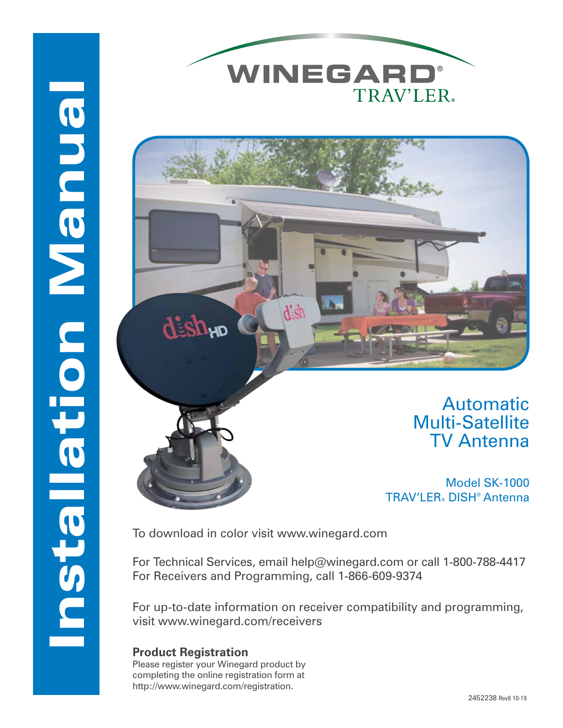



## Automatic Multi-Satellite TV Antenna

Model SK-1000 TRAV'LER® DISH® Antenna

To download in color visit www.winegard.com

For Technical Services, email help@winegard.com or call 1-800-788-4417 For Receivers and Programming, call 1-866-609-9374

For up-to-date information on receiver compatibility and programming, visit www.winegard.com/receivers

### **Product Registration**

Installation Manual

**Maundron-Balleten** 

Please register your Winegard product by completing the online registration form at http://www.winegard.com/registration.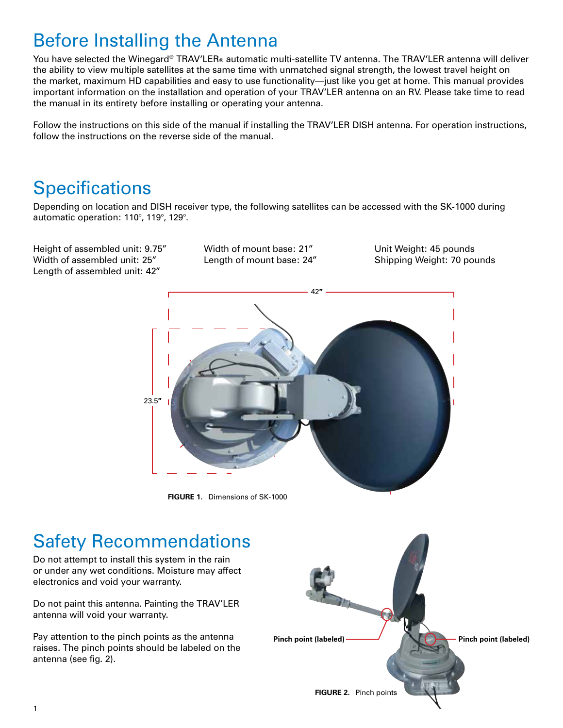## Before Installing the Antenna

You have selected the Winegard® TRAV'LER® automatic multi-satellite TV antenna. The TRAV'LER antenna will deliver the ability to view multiple satellites at the same time with unmatched signal strength, the lowest travel height on the market, maximum HD capabilities and easy to use functionality—just like you get at home. This manual provides important information on the installation and operation of your TRAV'LER antenna on an RV. Please take time to read the manual in its entirety before installing or operating your antenna.

Follow the instructions on this side of the manual if installing the TRAV'LER DISH antenna. For operation instructions, follow the instructions on the reverse side of the manual.

## **Specifications**

Depending on location and DISH receiver type, the following satellites can be accessed with the SK-1000 during automatic operation: 110°, 119°, 129°.

Height of assembled unit: 9.75" Width of assembled unit: 25" Length of assembled unit: 42"

Width of mount base: 21" Length of mount base: 24" Unit Weight: 45 pounds Shipping Weight: 70 pounds



**FIGURE 1.** Dimensions of SK-1000

## Safety Recommendations

Do not attempt to install this system in the rain or under any wet conditions. Moisture may affect electronics and void your warranty.

Do not paint this antenna. Painting the TRAV'LER antenna will void your warranty.

Pay attention to the pinch points as the antenna raises. The pinch points should be labeled on the antenna (see fig. 2).

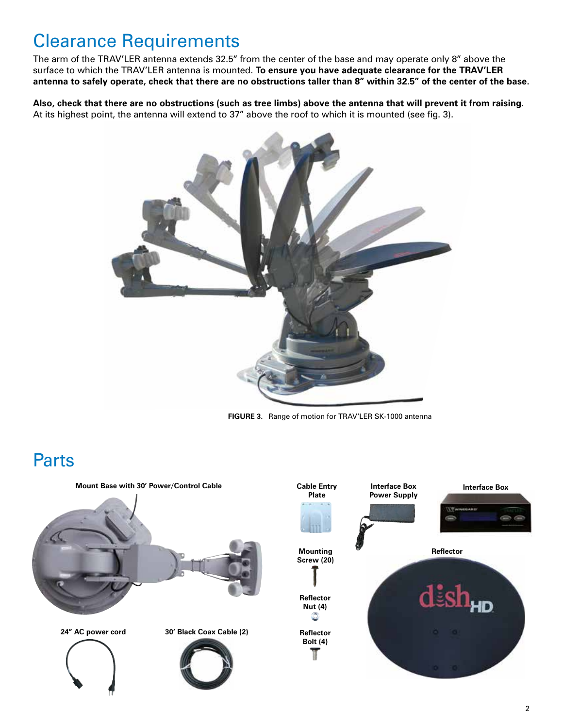## Clearance Requirements

The arm of the TRAV'LER antenna extends 32.5" from the center of the base and may operate only 8" above the surface to which the TRAV'LER antenna is mounted. **To ensure you have adequate clearance for the TRAV'LER antenna to safely operate, check that there are no obstructions taller than 8" within 32.5" of the center of the base.** 

**Also, check that there are no obstructions (such as tree limbs) above the antenna that will prevent it from raising.** At its highest point, the antenna will extend to 37" above the roof to which it is mounted (see fig. 3).



**FIGURE 3.** Range of motion for TRAV'LER SK-1000 antenna

## Parts

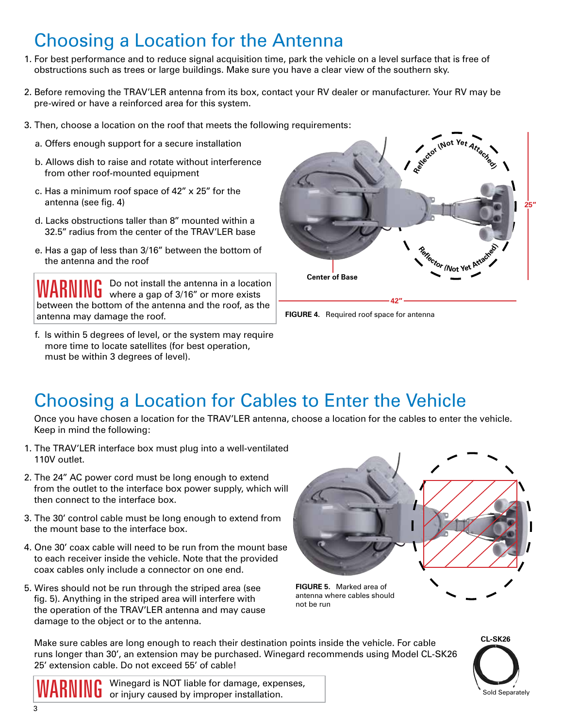# Choosing a Location for the Antenna

- 1. For best performance and to reduce signal acquisition time, park the vehicle on a level surface that is free of obstructions such as trees or large buildings. Make sure you have a clear view of the southern sky.
- 2. Before removing the TRAV'LER antenna from its box, contact your RV dealer or manufacturer. Your RV may be pre-wired or have a reinforced area for this system.
- 3. Then, choose a location on the roof that meets the following requirements:
	- a. Offers enough support for a secure installation
	- b. Allows dish to raise and rotate without interference from other roof-mounted equipment
	- c. Has a minimum roof space of 42" x 25" for the antenna (see fig. 4)
	- d. Lacks obstructions taller than 8" mounted within a 32.5" radius from the center of the TRAV'LER base
	- e. Has a gap of less than 3/16" between the bottom of the antenna and the roof

WARNING Do not install the antenna in a location<br>WARNING where a gap of 3/16" or more exists between the bottom of the antenna and the roof, as the antenna may damage the roof.

f. Is within 5 degrees of level, or the system may require more time to locate satellites (for best operation, must be within 3 degrees of level).





## Choosing a Location for Cables to Enter the Vehicle

Once you have chosen a location for the TRAV'LER antenna, choose a location for the cables to enter the vehicle. Keep in mind the following:

- 1. The TRAV'LER interface box must plug into a well-ventilated 110V outlet.
- 2. The 24" AC power cord must be long enough to extend from the outlet to the interface box power supply, which will then connect to the interface box.
- 3. The 30' control cable must be long enough to extend from the mount base to the interface box.
- 4. One 30' coax cable will need to be run from the mount base to each receiver inside the vehicle. Note that the provided coax cables only include a connector on one end.
- 5. Wires should not be run through the striped area (see fig. 5). Anything in the striped area will interfere with the operation of the TRAV'LER antenna and may cause damage to the object or to the antenna.



**FIGURE 5.** Marked area of antenna where cables should not be run

Make sure cables are long enough to reach their destination points inside the vehicle. For cable runs longer than 30', an extension may be purchased. Winegard recommends using Model CL-SK26 25' extension cable. Do not exceed 55' of cable!



Winegard is NOT liable for damage, expenses,<br>
or injury caused by improper installation or injury caused by improper installation.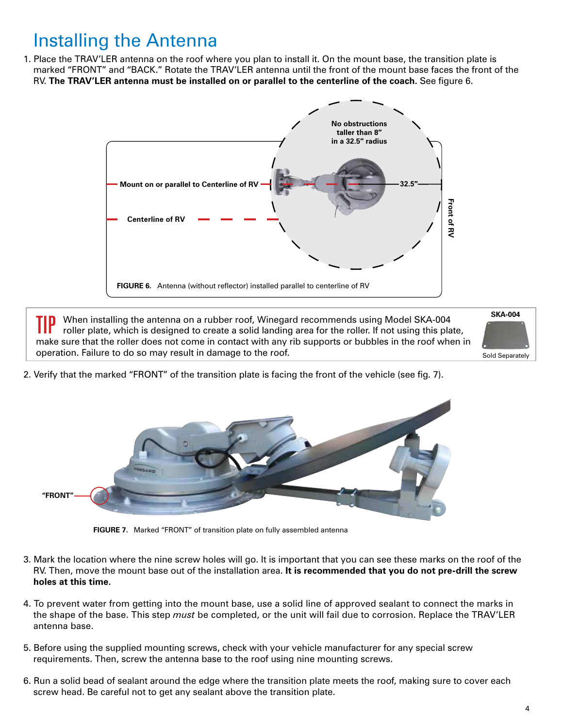## Installing the Antenna

1. Place the TRAV'LER antenna on the roof where you plan to install it. On the mount base, the transition plate is marked "FRONT" and "BACK." Rotate the TRAV'LER antenna until the front of the mount base faces the front of the RV. **The TRAV'LER antenna must be installed on or parallel to the centerline of the coach.** See figure 6.



TIP When installing the antenna on a rubber roof, Winegard recommends using Model SKA-004 roller plate, which is designed to create a solid landing area for the roller. If not using this plate, make sure that the roller does not come in contact with any rib supports or bubbles in the roof when in operation. Failure to do so may result in damage to the roof.



2. Verify that the marked "FRONT" of the transition plate is facing the front of the vehicle (see fig. 7).



**FIGURE 7.** Marked "FRONT" of transition plate on fully assembled antenna

- 3. Mark the location where the nine screw holes will go. It is important that you can see these marks on the roof of the RV. Then, move the mount base out of the installation area. **It is recommended that you do not pre-drill the screw holes at this time.**
- 4. To prevent water from getting into the mount base, use a solid line of approved sealant to connect the marks in the shape of the base. This step *must* be completed, or the unit will fail due to corrosion. Replace the TRAV'LER antenna base.
- 5. Before using the supplied mounting screws, check with your vehicle manufacturer for any special screw requirements. Then, screw the antenna base to the roof using nine mounting screws.
- 6. Run a solid bead of sealant around the edge where the transition plate meets the roof, making sure to cover each screw head. Be careful not to get any sealant above the transition plate.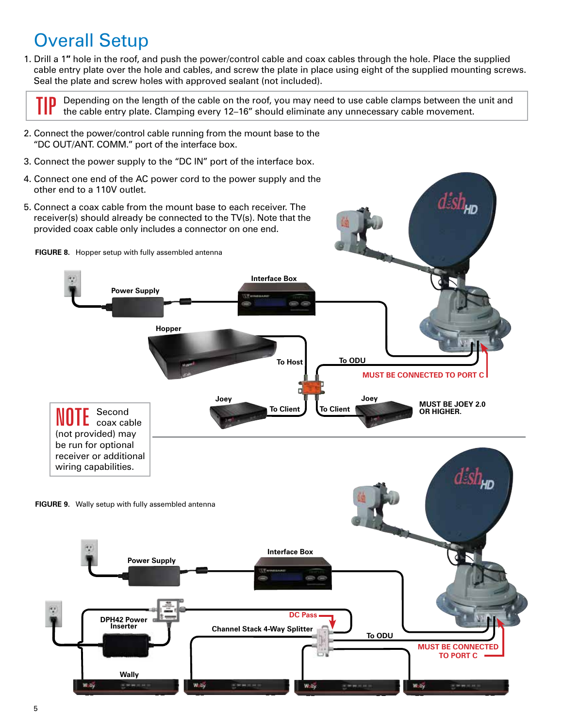## Overall Setup

1. Drill a 1**″** hole in the roof, and push the power/control cable and coax cables through the hole. Place the supplied cable entry plate over the hole and cables, and screw the plate in place using eight of the supplied mounting screws. Seal the plate and screw holes with approved sealant (not included).



Depending on the length of the cable on the roof, you may need to use cable clamps between the unit and the cable entry plate. Clamping every 12–16" should eliminate any unnecessary cable movement.

- 2. Connect the power/control cable running from the mount base to the "DC OUT/ANT. COMM." port of the interface box.
- 3. Connect the power supply to the "DC IN" port of the interface box.
- 4. Connect one end of the AC power cord to the power supply and the other end to a 110V outlet.

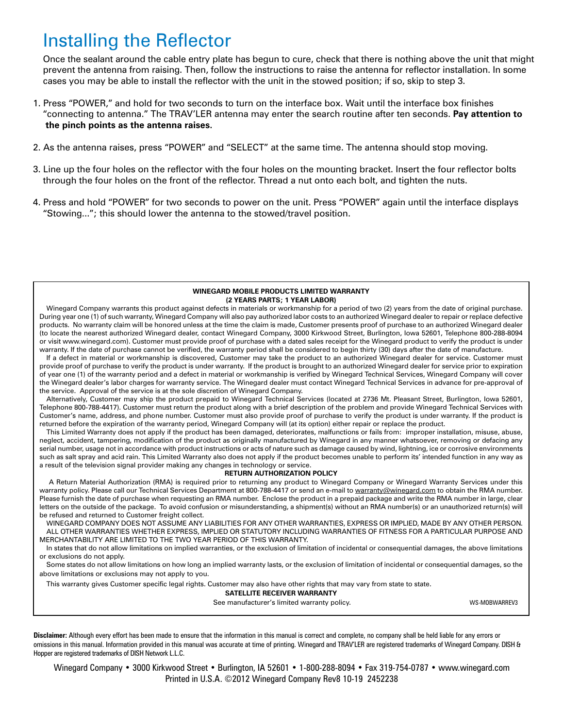## Installing the Reflector

Once the sealant around the cable entry plate has begun to cure, check that there is nothing above the unit that might prevent the antenna from raising. Then, follow the instructions to raise the antenna for reflector installation. In some cases you may be able to install the reflector with the unit in the stowed position; if so, skip to step 3.

- 1. Press "POWER," and hold for two seconds to turn on the interface box. Wait until the interface box finishes "connecting to antenna." The TRAV'LER antenna may enter the search routine after ten seconds. **Pay attention to the pinch points as the antenna raises.**
- 2. As the antenna raises, press "POWER" and "SELECT" at the same time. The antenna should stop moving.
- 3. Line up the four holes on the reflector with the four holes on the mounting bracket. Insert the four reflector bolts through the four holes on the front of the reflector. Thread a nut onto each bolt, and tighten the nuts.
- 4. Press and hold "POWER" for two seconds to power on the unit. Press "POWER" again until the interface displays "Stowing..."; this should lower the antenna to the stowed/travel position.

#### **WINEGARD MOBILE PRODUCTS LIMITED WARRANTY (2 YEARS PARTS; 1 YEAR LABOR)**

Winegard Company warrants this product against defects in materials or workmanship for a period of two (2) years from the date of original purchase. During year one (1) of such warranty, Winegard Company will also pay authorized labor costs to an authorized Winegard dealer to repair or replace defective products. No warranty claim will be honored unless at the time the claim is made, Customer presents proof of purchase to an authorized Winegard dealer (to locate the nearest authorized Winegard dealer, contact Winegard Company, 3000 Kirkwood Street, Burlington, Iowa 52601, Telephone 800-288-8094 or visit www.winegard.com). Customer must provide proof of purchase with a dated sales receipt for the Winegard product to verify the product is under warranty. If the date of purchase cannot be verified, the warranty period shall be considered to begin thirty (30) days after the date of manufacture.

If a defect in material or workmanship is discovered, Customer may take the product to an authorized Winegard dealer for service. Customer must provide proof of purchase to verify the product is under warranty. If the product is brought to an authorized Winegard dealer for service prior to expiration of year one (1) of the warranty period and a defect in material or workmanship is verified by Winegard Technical Services, Winegard Company will cover the Winegard dealer's labor charges for warranty service. The Winegard dealer must contact Winegard Technical Services in advance for pre-approval of the service. Approval of the service is at the sole discretion of Winegard Company.

Alternatively, Customer may ship the product prepaid to Winegard Technical Services (located at 2736 Mt. Pleasant Street, Burlington, Iowa 52601, Telephone 800-788-4417). Customer must return the product along with a brief description of the problem and provide Winegard Technical Services with Customer's name, address, and phone number. Customer must also provide proof of purchase to verify the product is under warranty. If the product is returned before the expiration of the warranty period, Winegard Company will (at its option) either repair or replace the product.

This Limited Warranty does not apply if the product has been damaged, deteriorates, malfunctions or fails from: improper installation, misuse, abuse, neglect, accident, tampering, modification of the product as originally manufactured by Winegard in any manner whatsoever, removing or defacing any serial number, usage not in accordance with product instructions or acts of nature such as damage caused by wind, lightning, ice or corrosive environments such as salt spray and acid rain. This Limited Warranty also does not apply if the product becomes unable to perform its' intended function in any way as a result of the television signal provider making any changes in technology or service.

#### **RETURN AUTHORIZATION POLICY**

 A Return Material Authorization (RMA) is required prior to returning any product to Winegard Company or Winegard Warranty Services under this warranty policy. Please call our Technical Services Department at 800-788-4417 or send an e-mail to warranty@winegard.com to obtain the RMA number. Please furnish the date of purchase when requesting an RMA number. Enclose the product in a prepaid package and write the RMA number in large, clear letters on the outside of the package. To avoid confusion or misunderstanding, a shipment(s) without an RMA number(s) or an unauthorized return(s) will be refused and returned to Customer freight collect.

WINEGARD COMPANY DOES NOT ASSUME ANY LIABILITIES FOR ANY OTHER WARRANTIES, EXPRESS OR IMPLIED, MADE BY ANY OTHER PERSON. ALL OTHER WARRANTIES WHETHER EXPRESS, IMPLIED OR STATUTORY INCLUDING WARRANTIES OF FITNESS FOR A PARTICULAR PURPOSE AND MERCHANTABILITY ARE LIMITED TO THE TWO YEAR PERIOD OF THIS WARRANTY.

In states that do not allow limitations on implied warranties, or the exclusion of limitation of incidental or consequential damages, the above limitations or exclusions do not apply.

Some states do not allow limitations on how long an implied warranty lasts, or the exclusion of limitation of incidental or consequential damages, so the above limitations or exclusions may not apply to you.

This warranty gives Customer specific legal rights. Customer may also have other rights that may vary from state to state.

**SATELLITE RECEIVER WARRANTY**

See manufacturer's limited warranty policy. WS-MOBWARREV3

**Disclaimer:** Although every effort has been made to ensure that the information in this manual is correct and complete, no company shall be held liable for any errors or omissions in this manual. Information provided in this manual was accurate at time of printing. Winegard and TRAV'LER are registered trademarks of Winegard Company. DISH & Hopper are registered trademarks of DISH Network L.L.C.

Winegard Company • 3000 Kirkwood Street • Burlington, IA 52601 • 1-800-288-8094 • Fax 319-754-0787 • www.winegard.com Printed in U.S.A. ©2012 Winegard Company Rev8 10-19 2452238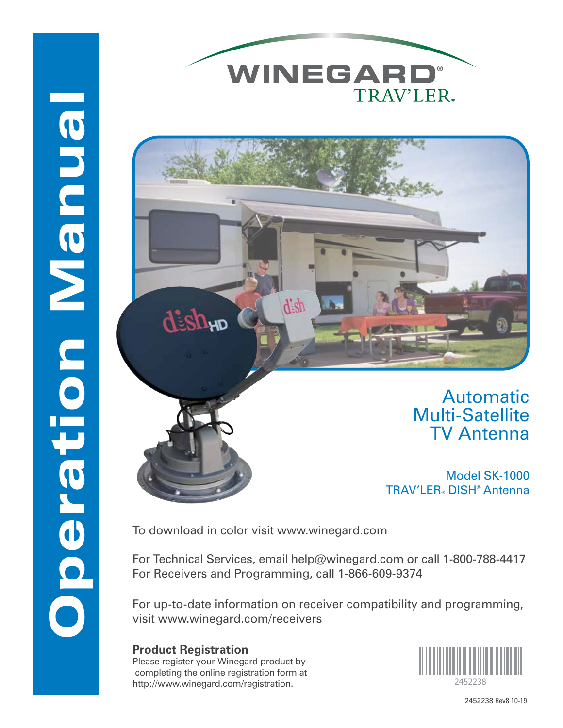



Automatic Multi-Satellite TV Antenna

Model SK-1000 TRAV'LER® DISH® Antenna

To download in color visit www.winegard.com

For Technical Services, email help@winegard.com or call 1-800-788-4417 For Receivers and Programming, call 1-866-609-9374

For up-to-date information on receiver compatibility and programming, visit www.winegard.com/receivers

### **Product Registration**

Operation Manual

Deration Manual

Please register your Winegard product by completing the online registration form at http://www.winegard.com/registration.



2452238 Rev8 10-19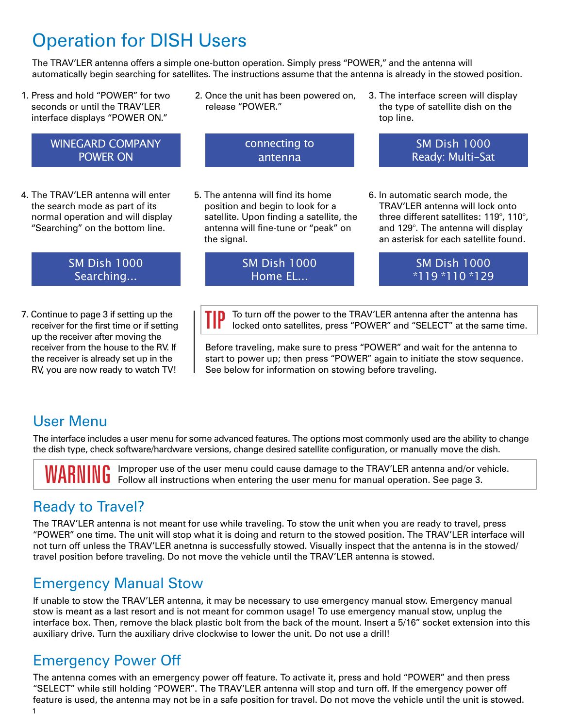# Operation for DISH Users

The TRAV'LER antenna offers a simple one-button operation. Simply press "POWER," and the antenna will automatically begin searching for satellites. The instructions assume that the antenna is already in the stowed position.

- 1. Press and hold "POWER" for two seconds or until the TRAV'LER interface displays "POWER ON."
	- WINEGARD COMPANY POWER ON
- 4. The TRAV'LER antenna will enter the search mode as part of its normal operation and will display "Searching" on the bottom line.

### SM Dish 1000 Searching...

7. Continue to page 3 if setting up the receiver for the first time or if setting up the receiver after moving the receiver from the house to the RV. If the receiver is already set up in the RV, you are now ready to watch TV!

2. Once the unit has been powered on, release "POWER."

> connecting to antenna

5. The antenna will find its home position and begin to look for a satellite. Upon finding a satellite, the antenna will fine-tune or "peak" on

the signal.

3. The interface screen will display the type of satellite dish on the top line.

> SM Dish 1000 Ready: Multi-Sat

6. In automatic search mode, the TRAV'LER antenna will lock onto three different satellites: 119°, 110°, and 129°. The antenna will display an asterisk for each satellite found.

SM Dish 1000 Home EL...

SM Dish 1000 \*119 \*110 \*129

**TIP** To turn off the power to the TRAV'LER antenna after the antenna has locked onto satellites, press "POWER" and "SELECT" at the same time.

Before traveling, make sure to press "POWER" and wait for the antenna to start to power up; then press "POWER" again to initiate the stow sequence. See below for information on stowing before traveling.

### User Menu

The interface includes a user menu for some advanced features. The options most commonly used are the ability to change the dish type, check software/hardware versions, change desired satellite configuration, or manually move the dish.

WARNIMC Improper use of the user menu could cause damage to the TRAV'LER antenna and/or vehicle.<br>WARNIMC Follow all instructions when entering the user menu for manual operation. See page 3.

### Ready to Travel?

The TRAV'LER antenna is not meant for use while traveling. To stow the unit when you are ready to travel, press "POWER" one time. The unit will stop what it is doing and return to the stowed position. The TRAV'LER interface will not turn off unless the TRAV'LER anetnna is successfully stowed. Visually inspect that the antenna is in the stowed/ travel position before traveling. Do not move the vehicle until the TRAV'LER antenna is stowed.

### Emergency Manual Stow

If unable to stow the TRAV'LER antenna, it may be necessary to use emergency manual stow. Emergency manual stow is meant as a last resort and is not meant for common usage! To use emergency manual stow, unplug the interface box. Then, remove the black plastic bolt from the back of the mount. Insert a 5/16" socket extension into this auxiliary drive. Turn the auxiliary drive clockwise to lower the unit. Do not use a drill!

### Emergency Power Off

1 The antenna comes with an emergency power off feature. To activate it, press and hold "POWER" and then press "SELECT" while still holding "POWER". The TRAV'LER antenna will stop and turn off. If the emergency power off feature is used, the antenna may not be in a safe position for travel. Do not move the vehicle until the unit is stowed.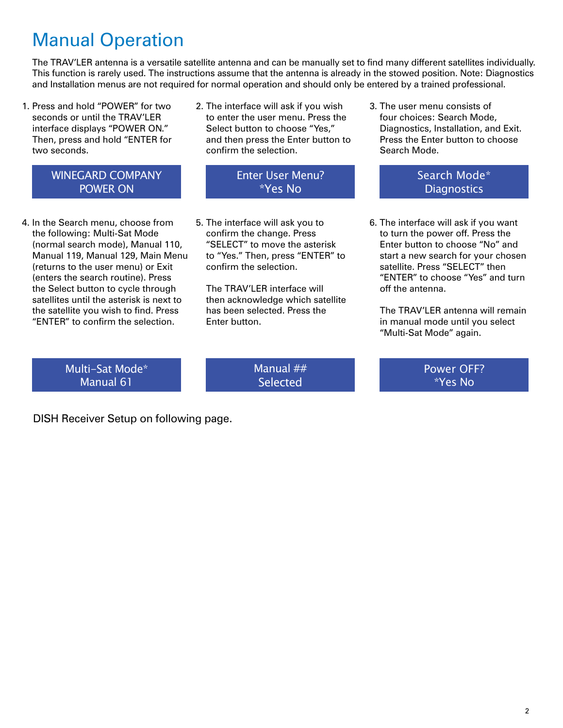# Manual Operation

The TRAV'LER antenna is a versatile satellite antenna and can be manually set to find many different satellites individually. This function is rarely used. The instructions assume that the antenna is already in the stowed position. Note: Diagnostics and Installation menus are not required for normal operation and should only be entered by a trained professional.

- 1. Press and hold "POWER" for two seconds or until the TRAV'LER interface displays "POWER ON." Then, press and hold "ENTER for two seconds.
- 2. The interface will ask if you wish to enter the user menu. Press the Select button to choose "Yes," and then press the Enter button to confirm the selection.

### WINEGARD COMPANY POWER ON

- 4. In the Search menu, choose from the following: Multi-Sat Mode (normal search mode), Manual 110, Manual 119, Manual 129, Main Menu (returns to the user menu) or Exit (enters the search routine). Press the Select button to cycle through satellites until the asterisk is next to the satellite you wish to find. Press "ENTER" to confirm the selection.
- Enter User Menu? \*Yes No
- 5. The interface will ask you to confirm the change. Press "SELECT" to move the asterisk to "Yes." Then, press "ENTER" to confirm the selection.

The TRAV'LER interface will then acknowledge which satellite has been selected. Press the Enter button.

3. The user menu consists of four choices: Search Mode, Diagnostics, Installation, and Exit. Press the Enter button to choose Search Mode.

> Search Mode\* **Diagnostics**

6. The interface will ask if you want to turn the power off. Press the Enter button to choose "No" and start a new search for your chosen satellite. Press "SELECT" then "ENTER" to choose "Yes" and turn off the antenna.

The TRAV'l FR antenna will remain in manual mode until you select "Multi-Sat Mode" again.

Multi-Sat Mode\* Manual 61

Manual ## **Selected** 

Power OFF? \*Yes No

DISH Receiver Setup on following page.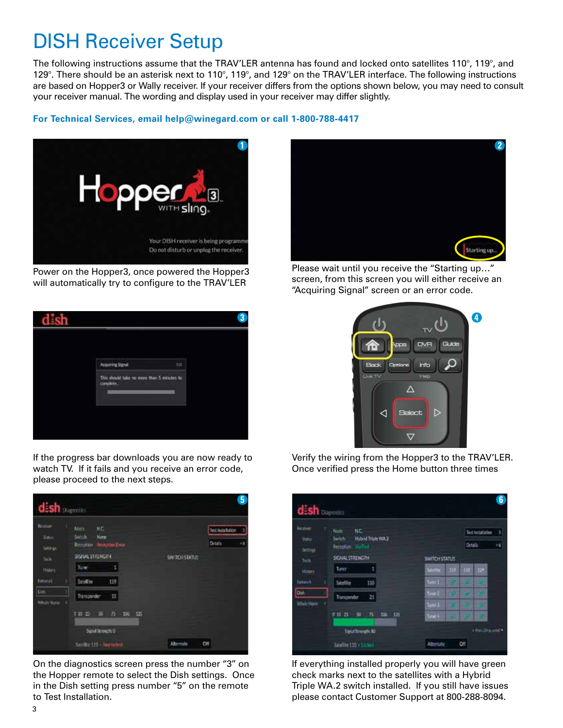# DISH Receiver Setup

The following instructions assume that the TRAV'LER antenna has found and locked onto satellites 110°, 119°, and 129°. There should be an asterisk next to 110°, 119°, and 129° on the TRAV'LER interface. The following instructions are based on Hopper3 or Wally receiver. If your receiver differs from the options shown below, you may need to consult your receiver manual. The wording and display used in your receiver may differ slightly.

#### **For Technical Services, email help@winegard.com or call 1-800-788-4417**



Power on the Hopper3, once powered the Hopper3 will automatically try to configure to the TRAV'LER



If the progress bar downloads you are now ready to watch TV. If it fails and you receive an error code, please proceed to the next steps.



On the diagnostics screen press the number "3" on the Hopper remote to select the Dish settings. Once in the Dish setting press number "5" on the remote to Test Installation.



Please wait until you receive the "Starting up…" screen, from this screen you will either receive an "Acquiring Signal" screen or an error code.



Verify the wiring from the Hopper3 to the TRAV'LER. Once verified press the Home button three times

| <b>Receiver</b>     | NC.<br>Node:                                     |                        | Test installation<br>5 |
|---------------------|--------------------------------------------------|------------------------|------------------------|
| Status'<br>Settings | Hybrid Triple WA2<br>Switch<br>Recording Venture |                        | 16<br>Ditals           |
| <b>Tools</b>        | SIGNAL STRENGTH                                  | <b>SWITCH STATUS</b>   |                        |
| History             | Tuner.                                           | 117<br>Savitte         | 110 129                |
| <b>Noticent</b>     | 110<br>Satellite                                 | $t = 1$<br>œ           | <b>COL</b>             |
| Dish                | Transponder<br>21                                | Turner 2<br><b>COL</b> |                        |
| <b>Whole Home</b>   |                                                  | Tunnels.<br>w          | w<br>w                 |
|                     | 0.10 25 50<br>100<br>$-76$<br>125                | Ture 411<br>13         | æ                      |

If everything installed properly you will have green check marks next to the satellites with a Hybrid Triple WA.2 switch installed. If you still have issues please contact Customer Support at 800-288-8094.